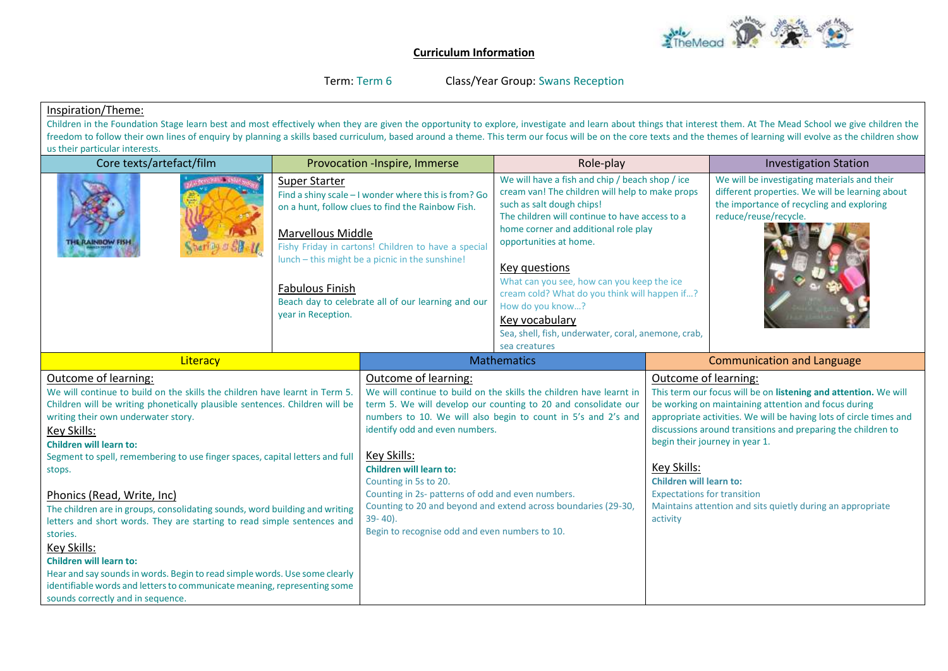

## **Curriculum Information**

Term: Term 6 Class/Year Group: Swans Reception

## Inspiration/Theme:

Children in the Foundation Stage learn best and most effectively when they are given the opportunity to explore, investigate and learn about things that interest them. At The Mead School we give children the freedom to follow their own lines of enquiry by planning a skills based curriculum, based around a theme. This term our focus will be on the core texts and the themes of learning will evolve as the children show us their particular interests.

| Core texts/artefact/film                                                                                                                                                                                                                                                                                                                                                                                                                                                                                                                                                                                                                                                                                                                                                                                                 |                                                                                                                                                                                                                                                                                                                                                                        | Provocation -Inspire, Immerse                                                                                                                                                                                                                                                                                                                                                                                                                                                                                                       | Role-play                                                                                                                                                                                                                                                                                                                                                                                                                                                                         |                                                                                                                                                                                                                                                                                                                                                                                                                                                                                          | <b>Investigation Station</b>                                                                                                                                          |
|--------------------------------------------------------------------------------------------------------------------------------------------------------------------------------------------------------------------------------------------------------------------------------------------------------------------------------------------------------------------------------------------------------------------------------------------------------------------------------------------------------------------------------------------------------------------------------------------------------------------------------------------------------------------------------------------------------------------------------------------------------------------------------------------------------------------------|------------------------------------------------------------------------------------------------------------------------------------------------------------------------------------------------------------------------------------------------------------------------------------------------------------------------------------------------------------------------|-------------------------------------------------------------------------------------------------------------------------------------------------------------------------------------------------------------------------------------------------------------------------------------------------------------------------------------------------------------------------------------------------------------------------------------------------------------------------------------------------------------------------------------|-----------------------------------------------------------------------------------------------------------------------------------------------------------------------------------------------------------------------------------------------------------------------------------------------------------------------------------------------------------------------------------------------------------------------------------------------------------------------------------|------------------------------------------------------------------------------------------------------------------------------------------------------------------------------------------------------------------------------------------------------------------------------------------------------------------------------------------------------------------------------------------------------------------------------------------------------------------------------------------|-----------------------------------------------------------------------------------------------------------------------------------------------------------------------|
| <b>THE RAINBOW FISH</b>                                                                                                                                                                                                                                                                                                                                                                                                                                                                                                                                                                                                                                                                                                                                                                                                  | Super Starter<br>Find a shiny scale - I wonder where this is from? Go<br>on a hunt, follow clues to find the Rainbow Fish.<br><b>Marvellous Middle</b><br>Fishy Friday in cartons! Children to have a special<br>lunch - this might be a picnic in the sunshine!<br><b>Fabulous Finish</b><br>Beach day to celebrate all of our learning and our<br>year in Reception. |                                                                                                                                                                                                                                                                                                                                                                                                                                                                                                                                     | We will have a fish and chip / beach shop / ice<br>cream van! The children will help to make props<br>such as salt dough chips!<br>The children will continue to have access to a<br>home corner and additional role play<br>opportunities at home.<br>Key questions<br>What can you see, how can you keep the ice<br>cream cold? What do you think will happen if?<br>How do you know?<br>Key vocabulary<br>Sea, shell, fish, underwater, coral, anemone, crab,<br>sea creatures |                                                                                                                                                                                                                                                                                                                                                                                                                                                                                          | We will be investigating materials and their<br>different properties. We will be learning about<br>the importance of recycling and exploring<br>reduce/reuse/recycle. |
| Literacy                                                                                                                                                                                                                                                                                                                                                                                                                                                                                                                                                                                                                                                                                                                                                                                                                 |                                                                                                                                                                                                                                                                                                                                                                        | <b>Mathematics</b>                                                                                                                                                                                                                                                                                                                                                                                                                                                                                                                  |                                                                                                                                                                                                                                                                                                                                                                                                                                                                                   |                                                                                                                                                                                                                                                                                                                                                                                                                                                                                          | <b>Communication and Language</b>                                                                                                                                     |
| Outcome of learning:<br>We will continue to build on the skills the children have learnt in Term 5.<br>Children will be writing phonetically plausible sentences. Children will be<br>writing their own underwater story.<br>Key Skills:<br><b>Children will learn to:</b><br>Segment to spell, remembering to use finger spaces, capital letters and full<br>stops.<br>Phonics (Read, Write, Inc)<br>The children are in groups, consolidating sounds, word building and writing<br>letters and short words. They are starting to read simple sentences and<br>stories.<br>Key Skills:<br><b>Children will learn to:</b><br>Hear and say sounds in words. Begin to read simple words. Use some clearly<br>identifiable words and letters to communicate meaning, representing some<br>sounds correctly and in sequence. |                                                                                                                                                                                                                                                                                                                                                                        | Outcome of learning:<br>We will continue to build on the skills the children have learnt in<br>term 5. We will develop our counting to 20 and consolidate our<br>numbers to 10. We will also begin to count in 5's and 2's and<br>identify odd and even numbers.<br>Key Skills:<br><b>Children will learn to:</b><br>Counting in 5s to 20.<br>Counting in 2s- patterns of odd and even numbers.<br>Counting to 20 and beyond and extend across boundaries (29-30,<br>$39 - 40$ ).<br>Begin to recognise odd and even numbers to 10. |                                                                                                                                                                                                                                                                                                                                                                                                                                                                                   | Outcome of learning:<br>This term our focus will be on listening and attention. We will<br>be working on maintaining attention and focus during<br>appropriate activities. We will be having lots of circle times and<br>discussions around transitions and preparing the children to<br>begin their journey in year 1.<br>Key Skills:<br><b>Children will learn to:</b><br><b>Expectations for transition</b><br>Maintains attention and sits quietly during an appropriate<br>activity |                                                                                                                                                                       |